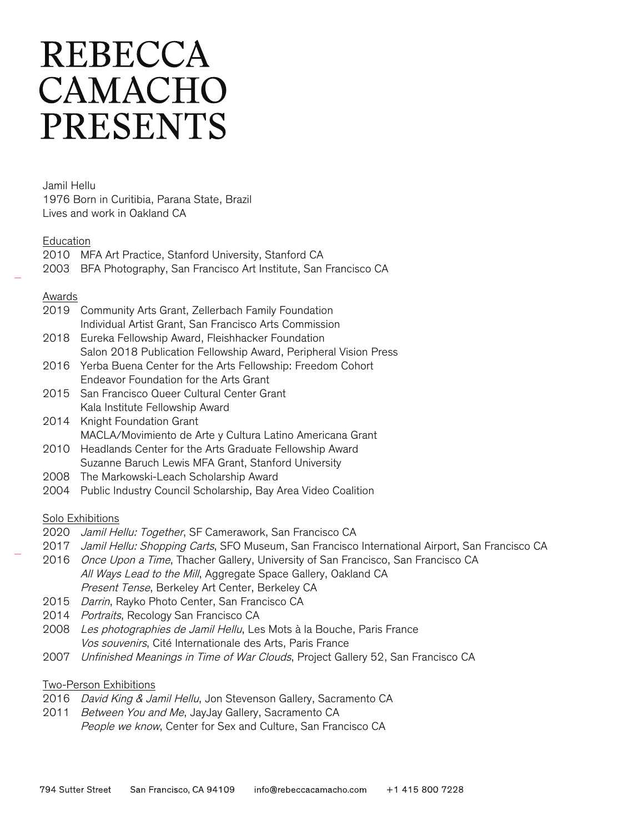# **REBECCA** CAMACHO **PRESENTS**

Jamil Hellu 1976 Born in Curitibia, Parana State, Brazil Lives and work in Oakland CA

#### Education

2010 MFA Art Practice, Stanford University, Stanford CA 2003 BFA Photography, San Francisco Art Institute, San Francisco CA

#### Awards

| 2019 Community Arts Grant, Zellerbach Family Foundation |
|---------------------------------------------------------|
| Individual Artist Grant, San Francisco Arts Commission  |

- 2018 Eureka Fellowship Award, Fleishhacker Foundation Salon 2018 Publication Fellowship Award, Peripheral Vision Press
- 2016 Yerba Buena Center for the Arts Fellowship: Freedom Cohort Endeavor Foundation for the Arts Grant
- 2015 San Francisco Queer Cultural Center Grant Kala Institute Fellowship Award
- 2014 Knight Foundation Grant MACLA/Movimiento de Arte y Cultura Latino Americana Grant
- 2010 Headlands Center for the Arts Graduate Fellowship Award Suzanne Baruch Lewis MFA Grant, Stanford University
- 2008 The Markowski-Leach Scholarship Award
- 2004 Public Industry Council Scholarship, Bay Area Video Coalition

#### Solo Exhibitions

- 2020 Jamil Hellu: Together, SF Camerawork, San Francisco CA
- 2017 Jamil Hellu: Shopping Carts, SFO Museum, San Francisco International Airport, San Francisco CA
- 2016 Once Upon a Time, Thacher Gallery, University of San Francisco, San Francisco CA All Ways Lead to the Mill, Aggregate Space Gallery, Oakland CA Present Tense, Berkeley Art Center, Berkeley CA
- 2015 Darrin, Rayko Photo Center, San Francisco CA
- 2014 Portraits, Recology San Francisco CA
- 2008 Les photographies de Jamil Hellu, Les Mots à la Bouche, Paris France Vos souvenirs, Cité Internationale des Arts, Paris France
- 2007 Unfinished Meanings in Time of War Clouds, Project Gallery 52, San Francisco CA

#### Two-Person Exhibitions

- 2016 David King & Jamil Hellu, Jon Stevenson Gallery, Sacramento CA
- 2011 Between You and Me, JayJay Gallery, Sacramento CA People we know, Center for Sex and Culture, San Francisco CA